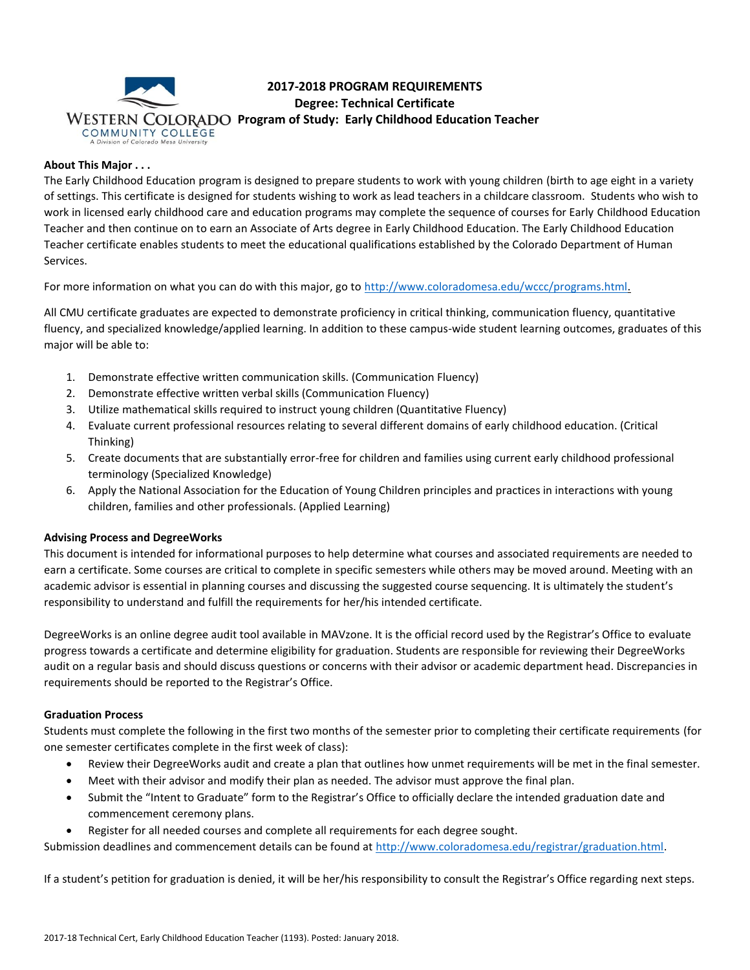

# **2017-2018 PROGRAM REQUIREMENTS Degree: Technical Certificate WESTERN COLORADO Program of Study: Early Childhood Education Teacher COMMUNITY COLLEGE**

## **About This Major . . .**

The Early Childhood Education program is designed to prepare students to work with young children (birth to age eight in a variety of settings. This certificate is designed for students wishing to work as lead teachers in a childcare classroom. Students who wish to work in licensed early childhood care and education programs may complete the sequence of courses for Early Childhood Education Teacher and then continue on to earn an Associate of Arts degree in Early Childhood Education. The Early Childhood Education Teacher certificate enables students to meet the educational qualifications established by the Colorado Department of Human Services.

For more information on what you can do with this major, go to [http://www.coloradomesa.edu/wccc/programs.html.](http://www.coloradomesa.edu/wccc/programs.html)

All CMU certificate graduates are expected to demonstrate proficiency in critical thinking, communication fluency, quantitative fluency, and specialized knowledge/applied learning. In addition to these campus-wide student learning outcomes, graduates of this major will be able to:

- 1. Demonstrate effective written communication skills. (Communication Fluency)
- 2. Demonstrate effective written verbal skills (Communication Fluency)
- 3. Utilize mathematical skills required to instruct young children (Quantitative Fluency)
- 4. Evaluate current professional resources relating to several different domains of early childhood education. (Critical Thinking)
- 5. Create documents that are substantially error-free for children and families using current early childhood professional terminology (Specialized Knowledge)
- 6. Apply the National Association for the Education of Young Children principles and practices in interactions with young children, families and other professionals. (Applied Learning)

## **Advising Process and DegreeWorks**

This document is intended for informational purposes to help determine what courses and associated requirements are needed to earn a certificate. Some courses are critical to complete in specific semesters while others may be moved around. Meeting with an academic advisor is essential in planning courses and discussing the suggested course sequencing. It is ultimately the student's responsibility to understand and fulfill the requirements for her/his intended certificate.

DegreeWorks is an online degree audit tool available in MAVzone. It is the official record used by the Registrar's Office to evaluate progress towards a certificate and determine eligibility for graduation. Students are responsible for reviewing their DegreeWorks audit on a regular basis and should discuss questions or concerns with their advisor or academic department head. Discrepancies in requirements should be reported to the Registrar's Office.

#### **Graduation Process**

Students must complete the following in the first two months of the semester prior to completing their certificate requirements (for one semester certificates complete in the first week of class):

- Review their DegreeWorks audit and create a plan that outlines how unmet requirements will be met in the final semester.
- Meet with their advisor and modify their plan as needed. The advisor must approve the final plan.
- Submit the "Intent to Graduate" form to the Registrar's Office to officially declare the intended graduation date and commencement ceremony plans.
- Register for all needed courses and complete all requirements for each degree sought.

Submission deadlines and commencement details can be found at [http://www.coloradomesa.edu/registrar/graduation.html.](http://www.coloradomesa.edu/registrar/graduation.html)

If a student's petition for graduation is denied, it will be her/his responsibility to consult the Registrar's Office regarding next steps.